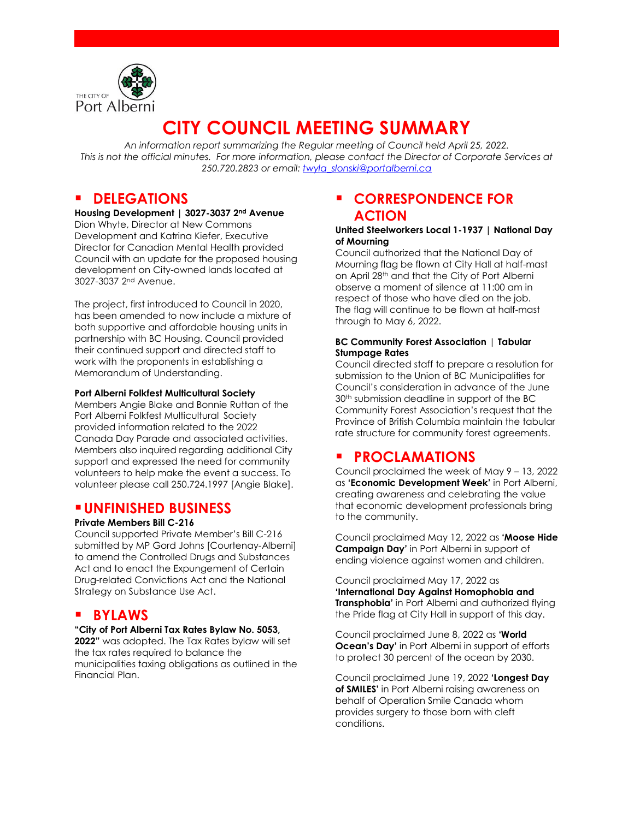

# **CITY COUNCIL MEETING SUMMARY**

*An information report summarizing the Regular meeting of Council held April 25, 2022. This is not the official minutes. For more information, please contact the Director of Corporate Services at 250.720.2823 or email: [twyla\\_slonski@portalberni.ca](mailto:twyla_slonski@portalberni.ca)*

### **P** DELEGATIONS

**Housing Development | 3027-3037 2nd Avenue** Dion Whyte, Director at New Commons Development and Katrina Kiefer, Executive Director for Canadian Mental Health provided Council with an update for the proposed housing development on City-owned lands located at 3027-3037 2nd Avenue.

The project, first introduced to Council in 2020, has been amended to now include a mixture of both supportive and affordable housing units in partnership with BC Housing. Council provided their continued support and directed staff to work with the proponents in establishing a Memorandum of Understanding.

#### **Port Alberni Folkfest Multicultural Society**

Members Angie Blake and Bonnie Ruttan of the Port Alberni Folkfest Multicultural Society provided information related to the 2022 Canada Day Parade and associated activities. Members also inquired regarding additional City support and expressed the need for community volunteers to help make the event a success. To volunteer please call 250.724.1997 [Angie Blake].

### **UNFINISHED BUSINESS**

#### **Private Members Bill C-216**

Council supported Private Member's Bill C-216 submitted by MP Gord Johns [Courtenay-Alberni] to amend the Controlled Drugs and Substances Act and to enact the Expungement of Certain Drug-related Convictions Act and the National Strategy on Substance Use Act.

### **BYLAWS**

#### **"City of Port Alberni Tax Rates Bylaw No. 5053,**

**2022"** was adopted. The Tax Rates bylaw will set the tax rates required to balance the municipalities taxing obligations as outlined in the Financial Plan.

### **EXPLONDENCE FOR ACTION**

#### **United Steelworkers Local 1-1937 | National Day of Mourning**

Council authorized that the National Day of Mourning flag be flown at City Hall at half-mast on April 28th and that the City of Port Alberni observe a moment of silence at 11:00 am in respect of those who have died on the job. The flag will continue to be flown at half-mast through to May 6, 2022.

#### **BC Community Forest Association** | **Tabular Stumpage Rates**

Council directed staff to prepare a resolution for submission to the Union of BC Municipalities for Council's consideration in advance of the June 30<sup>th</sup> submission deadline in support of the BC Community Forest Association's request that the Province of British Columbia maintain the tabular rate structure for community forest agreements.

### **PROCLAMATIONS**

Council proclaimed the week of May 9 – 13, 2022 as **'Economic Development Week'** in Port Alberni, creating awareness and celebrating the value that economic development professionals bring to the community.

Council proclaimed May 12, 2022 as **'Moose Hide Campaign Day'** in Port Alberni in support of ending violence against women and children.

Council proclaimed May 17, 2022 as **'International Day Against Homophobia and Transphobia'** in Port Alberni and authorized flying the Pride flag at City Hall in support of this day.

Council proclaimed June 8, 2022 as **'World Ocean's Day'** in Port Alberni in support of efforts to protect 30 percent of the ocean by 2030.

Council proclaimed June 19, 2022 **'Longest Day of SMILES'** in Port Alberni raising awareness on behalf of Operation Smile Canada whom provides surgery to those born with cleft conditions.